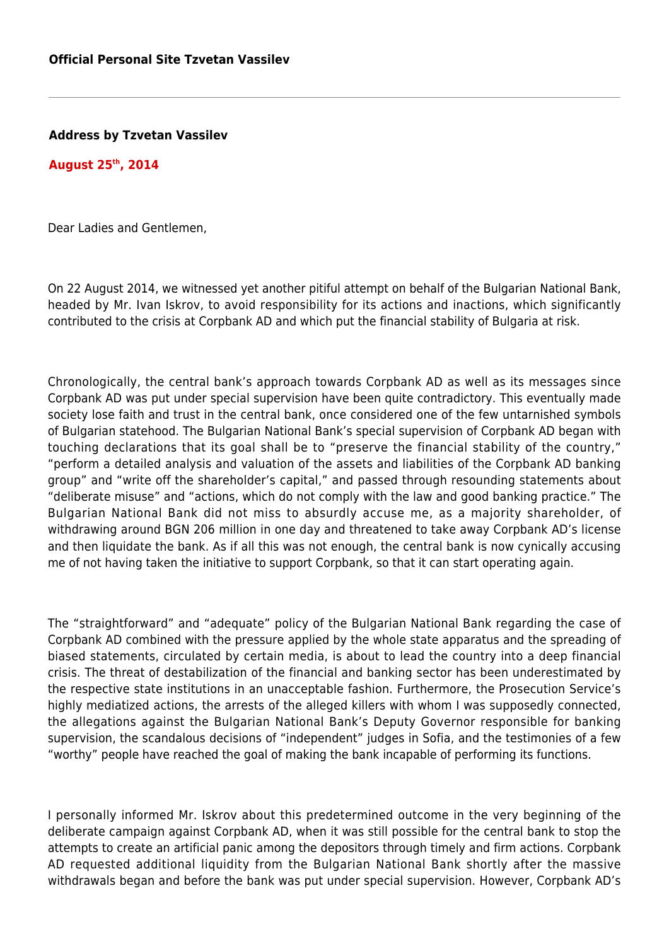**Address by Tzvetan Vassilev**

## **August 25th, 2014**

Dear Ladies and Gentlemen,

On 22 August 2014, we witnessed yet another pitiful attempt on behalf of the Bulgarian National Bank, headed by Mr. Ivan Iskrov, to avoid responsibility for its actions and inactions, which significantly contributed to the crisis at Corpbank AD and which put the financial stability of Bulgaria at risk.

Chronologically, the central bank's approach towards Corpbank AD as well as its messages since Corpbank AD was put under special supervision have been quite contradictory. This eventually made society lose faith and trust in the central bank, once considered one of the few untarnished symbols of Bulgarian statehood. The Bulgarian National Bank's special supervision of Corpbank AD began with touching declarations that its goal shall be to "preserve the financial stability of the country," "perform a detailed analysis and valuation of the assets and liabilities of the Corpbank AD banking group" and "write off the shareholder's capital," and passed through resounding statements about "deliberate misuse" and "actions, which do not comply with the law and good banking practice." The Bulgarian National Bank did not miss to absurdly accuse me, as a majority shareholder, of withdrawing around BGN 206 million in one day and threatened to take away Corpbank AD's license and then liquidate the bank. As if all this was not enough, the central bank is now cynically accusing me of not having taken the initiative to support Corpbank, so that it can start operating again.

The "straightforward" and "adequate" policy of the Bulgarian National Bank regarding the case of Corpbank AD combined with the pressure applied by the whole state apparatus and the spreading of biased statements, circulated by certain media, is about to lead the country into a deep financial crisis. The threat of destabilization of the financial and banking sector has been underestimated by the respective state institutions in an unacceptable fashion. Furthermore, the Prosecution Service's highly mediatized actions, the arrests of the alleged killers with whom I was supposedly connected, the allegations against the Bulgarian National Bank's Deputy Governor responsible for banking supervision, the scandalous decisions of "independent" judges in Sofia, and the testimonies of a few "worthy" people have reached the goal of making the bank incapable of performing its functions.

I personally informed Mr. Iskrov about this predetermined outcome in the very beginning of the deliberate campaign against Corpbank AD, when it was still possible for the central bank to stop the attempts to create an artificial panic among the depositors through timely and firm actions. Corpbank AD requested additional liquidity from the Bulgarian National Bank shortly after the massive withdrawals began and before the bank was put under special supervision. However, Corpbank AD's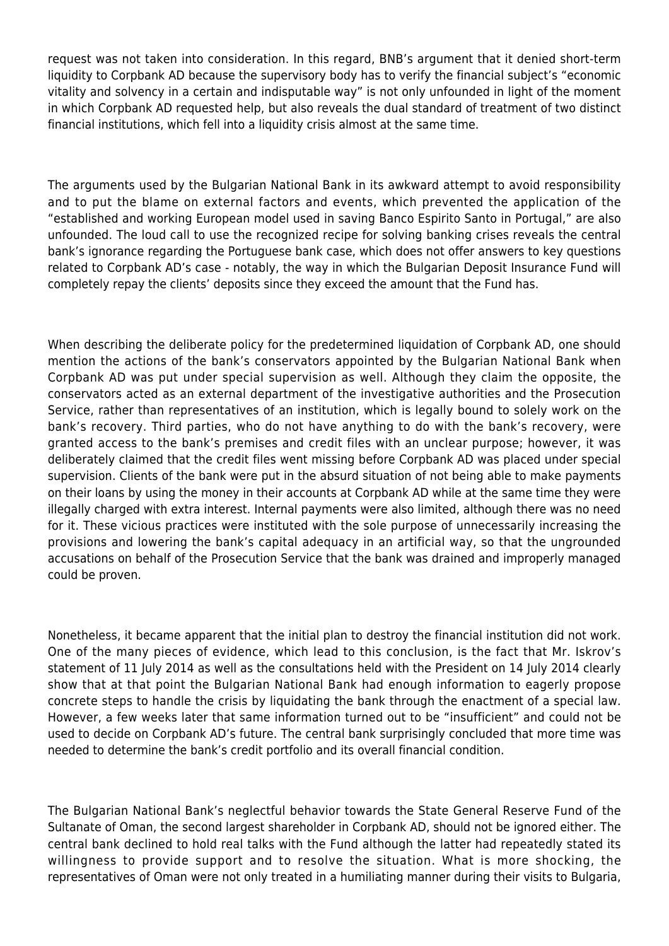request was not taken into consideration. In this regard, BNB's argument that it denied short-term liquidity to Corpbank AD because the supervisory body has to verify the financial subject's "economic vitality and solvency in a certain and indisputable way" is not only unfounded in light of the moment in which Corpbank AD requested help, but also reveals the dual standard of treatment of two distinct financial institutions, which fell into a liquidity crisis almost at the same time.

The arguments used by the Bulgarian National Bank in its awkward attempt to avoid responsibility and to put the blame on external factors and events, which prevented the application of the "established and working European model used in saving Banco Espirito Santo in Portugal," are also unfounded. The loud call to use the recognized recipe for solving banking crises reveals the central bank's ignorance regarding the Portuguese bank case, which does not offer answers to key questions related to Corpbank AD's case - notably, the way in which the Bulgarian Deposit Insurance Fund will completely repay the clients' deposits since they exceed the amount that the Fund has.

When describing the deliberate policy for the predetermined liquidation of Corpbank AD, one should mention the actions of the bank's conservators appointed by the Bulgarian National Bank when Corpbank AD was put under special supervision as well. Although they claim the opposite, the conservators acted as an external department of the investigative authorities and the Prosecution Service, rather than representatives of an institution, which is legally bound to solely work on the bank's recovery. Third parties, who do not have anything to do with the bank's recovery, were granted access to the bank's premises and credit files with an unclear purpose; however, it was deliberately claimed that the credit files went missing before Corpbank AD was placed under special supervision. Clients of the bank were put in the absurd situation of not being able to make payments on their loans by using the money in their accounts at Corpbank AD while at the same time they were illegally charged with extra interest. Internal payments were also limited, although there was no need for it. These vicious practices were instituted with the sole purpose of unnecessarily increasing the provisions and lowering the bank's capital adequacy in an artificial way, so that the ungrounded accusations on behalf of the Prosecution Service that the bank was drained and improperly managed could be proven.

Nonetheless, it became apparent that the initial plan to destroy the financial institution did not work. One of the many pieces of evidence, which lead to this conclusion, is the fact that Mr. Iskrov's statement of 11 July 2014 as well as the consultations held with the President on 14 July 2014 clearly show that at that point the Bulgarian National Bank had enough information to eagerly propose concrete steps to handle the crisis by liquidating the bank through the enactment of a special law. However, a few weeks later that same information turned out to be "insufficient" and could not be used to decide on Corpbank AD's future. The central bank surprisingly concluded that more time was needed to determine the bank's credit portfolio and its overall financial condition.

The Bulgarian National Bank's neglectful behavior towards the State General Reserve Fund of the Sultanate of Oman, the second largest shareholder in Corpbank AD, should not be ignored either. The central bank declined to hold real talks with the Fund although the latter had repeatedly stated its willingness to provide support and to resolve the situation. What is more shocking, the representatives of Oman were not only treated in a humiliating manner during their visits to Bulgaria,